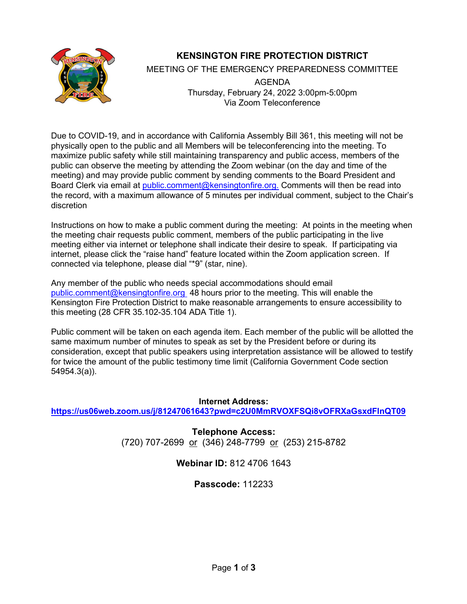

# **KENSINGTON FIRE PROTECTION DISTRICT**

MEETING OF THE EMERGENCY PREPAREDNESS COMMITTEE

AGENDA Thursday, February 24, 2022 3:00pm-5:00pm Via Zoom Teleconference

Due to COVID-19, and in accordance with California Assembly Bill 361, this meeting will not be physically open to the public and all Members will be teleconferencing into the meeting. To maximize public safety while still maintaining transparency and public access, members of the public can observe the meeting by attending the Zoom webinar (on the day and time of the meeting) and may provide public comment by sending comments to the Board President and Board Clerk via email at [public.comment@kensingtonfire.org.](mailto:public.comment@kensingtonfire.org.) Comments will then be read into the record, with a maximum allowance of 5 minutes per individual comment, subject to the Chair's discretion

Instructions on how to make a public comment during the meeting: At points in the meeting when the meeting chair requests public comment, members of the public participating in the live meeting either via internet or telephone shall indicate their desire to speak. If participating via internet, please click the "raise hand" feature located within the Zoom application screen. If connected via telephone, please dial "\*9" (star, nine).

Any member of the public who needs special accommodations should email public.comment@kensingtonfire.org 48 hours prior to the meeting. This will enable the Kensington Fire Protection District to make reasonable arrangements to ensure accessibility to this meeting (28 CFR 35.102-35.104 ADA Title 1).

Public comment will be taken on each agenda item. Each member of the public will be allotted the same maximum number of minutes to speak as set by the President before or during its consideration, except that public speakers using interpretation assistance will be allowed to testify for twice the amount of the public testimony time limit (California Government Code section 54954.3(a)).

**Internet Address: <https://us06web.zoom.us/j/81247061643?pwd=c2U0MmRVOXFSQi8vOFRXaGsxdFlnQT09>**

> **Telephone Access:** (720) 707-2699 or (346) 248-7799 or (253) 215-8782

# **Webinar ID:** 812 4706 1643

# **Passcode:** 112233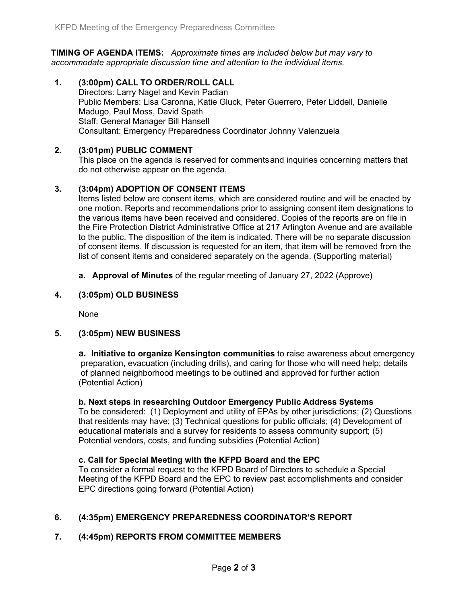**TIMING OF AGENDA ITEMS:** *Approximate times are included below but may vary to accommodate appropriate discussion time and attention to the individual items.*

**1. (3:00pm) CALL TO ORDER/ROLL CALL** Directors: Larry Nagel and Kevin Padian Public Members: Lisa Caronna, Katie Gluck, Peter Guerrero, Peter Liddell, Danielle Madugo, Paul Moss, David Spath Staff: General Manager Bill Hansell Consultant: Emergency Preparedness Coordinator Johnny Valenzuela

### **2. (3:01pm) PUBLIC COMMENT**

This place on the agenda is reserved for commentsand inquiries concerning matters that do not otherwise appear on the agenda.

## **3. (3:04pm) ADOPTION OF CONSENT ITEMS**

Items listed below are consent items, which are considered routine and will be enacted by one motion. Reports and recommendations prior to assigning consent item designations to the various items have been received and considered. Copies of the reports are on file in the Fire Protection District Administrative Office at 217 Arlington Avenue and are available to the public. The disposition of the item is indicated. There will be no separate discussion of consent items. If discussion is requested for an item, that item will be removed from the list of consent items and considered separately on the agenda. (Supporting material)

**a. Approval of Minutes** of the regular meeting of January 27, 2022 (Approve)

### **4. (3:05pm) OLD BUSINESS**

None

### **5. (3:05pm) NEW BUSINESS**

**a. Initiative to organize Kensington communities** to raise awareness about emergency preparation, evacuation (including drills), and caring for those who will need help; details of planned neighborhood meetings to be outlined and approved for further action (Potential Action)

#### **b. Next steps in researching Outdoor Emergency Public Address Systems**

To be considered: (1) Deployment and utility of EPAs by other jurisdictions; (2) Questions that residents may have; (3) Technical questions for public officials; (4) Development of educational materials and a survey for residents to assess community support; (5) Potential vendors, costs, and funding subsidies (Potential Action)

### **c. Call for Special Meeting with the KFPD Board and the EPC**

To consider a formal request to the KFPD Board of Directors to schedule a Special Meeting of the KFPD Board and the EPC to review past accomplishments and consider EPC directions going forward (Potential Action)

# **6. (4:35pm) EMERGENCY PREPAREDNESS COORDINATOR'S REPORT**

### **7. (4:45pm) REPORTS FROM COMMITTEE MEMBERS**